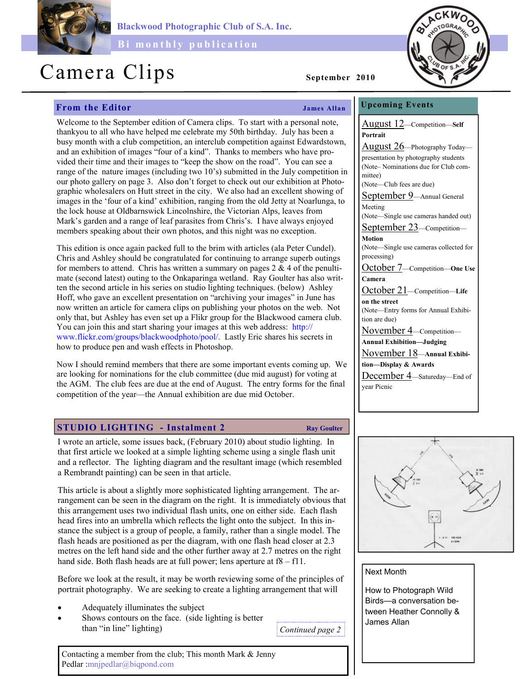

Blackwood Photographic Club of S.A. Inc.

Bi monthly publication

# Camera Clips September 2010

## From the Editor Theorem 2008 Shapes Allan

Welcome to the September edition of Camera clips. To start with a personal note, thankyou to all who have helped me celebrate my 50th birthday. July has been a busy month with a club competition, an interclub competition against Edwardstown, and an exhibition of images "four of a kind". Thanks to members who have provided their time and their images to "keep the show on the road". You can see a range of the nature images (including two 10's) submitted in the July competition in our photo gallery on page 3. Also don't forget to check out our exhibition at Photographic wholesalers on Hutt street in the city. We also had an excellent showing of images in the 'four of a kind' exhibition, ranging from the old Jetty at Noarlunga, to the lock house at Oldbarnswick Lincolnshire, the Victorian Alps, leaves from Mark's garden and a range of leaf parasites from Chris's. I have always enjoyed members speaking about their own photos, and this night was no exception.

This edition is once again packed full to the brim with articles (ala Peter Cundel). Chris and Ashley should be congratulated for continuing to arrange superb outings for members to attend. Chris has written a summary on pages  $2 \& 4$  of the penultimate (second latest) outing to the Onkaparinga wetland. Ray Goulter has also written the second article in his series on studio lighting techniques. (below) Ashley Hoff, who gave an excellent presentation on "archiving your images" in June has now written an article for camera clips on publishing your photos on the web. Not only that, but Ashley has even set up a Flikr group for the Blackwood camera club. You can join this and start sharing your images at this web address: http:// www.flickr.com/groups/blackwoodphoto/pool/. Lastly Eric shares his secrets in how to produce pen and wash effects in Photoshop.

Now I should remind members that there are some important events coming up. We are looking for nominations for the club committee (due mid august) for voting at the AGM. The club fees are due at the end of August. The entry forms for the final competition of the year—the Annual exhibition are due mid October.

### STUDIO LIGHTING - Instalment 2 Ray Goulter

I wrote an article, some issues back, (February 2010) about studio lighting. In that first article we looked at a simple lighting scheme using a single flash unit and a reflector. The lighting diagram and the resultant image (which resembled a Rembrandt painting) can be seen in that article.

This article is about a slightly more sophisticated lighting arrangement. The arrangement can be seen in the diagram on the right. It is immediately obvious that this arrangement uses two individual flash units, one on either side. Each flash head fires into an umbrella which reflects the light onto the subject. In this instance the subject is a group of people, a family, rather than a single model. The flash heads are positioned as per the diagram, with one flash head closer at 2.3 metres on the left hand side and the other further away at 2.7 metres on the right hand side. Both flash heads are at full power; lens aperture at f8 – f11.

Before we look at the result, it may be worth reviewing some of the principles of portrait photography. We are seeking to create a lighting arrangement that will

- Adequately illuminates the subject
- Shows contours on the face. (side lighting is better than "in line" lighting)

Continued page 2

Contacting a member from the club; This month Mark & Jenny Pedlar :mnjpedlar@biqpond.com

Upcoming Events August 12—Competition—Self Portrait August 26—Photography Today presentation by photography students (Note– Nominations due for Club committee) (Note—Club fees are due) September 9—Annual General Meeting (Note—Single use cameras handed out) September 23—Competition— **Motion** (Note—Single use cameras collected for processing) October 7—Competition—One Use Camera October 21-Competition-Life on the street (Note—Entry forms for Annual Exhibition are due) November 4—Competition— Annual Exhibition—Judging November 18—Annual Exhibition—Display & Awards December 4—Satureday—End of year Picnic



### Next Month

How to Photograph Wild Birds—a conversation between Heather Connolly & James Allan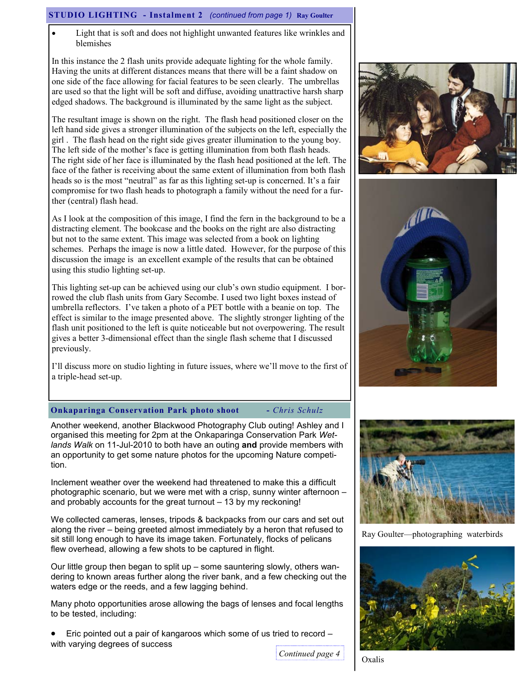#### STUDIO LIGHTING - Instalment 2 (continued from page 1) Ray Goulter

Light that is soft and does not highlight unwanted features like wrinkles and blemishes

In this instance the 2 flash units provide adequate lighting for the whole family. Having the units at different distances means that there will be a faint shadow on one side of the face allowing for facial features to be seen clearly. The umbrellas are used so that the light will be soft and diffuse, avoiding unattractive harsh sharp edged shadows. The background is illuminated by the same light as the subject.

The resultant image is shown on the right. The flash head positioned closer on the left hand side gives a stronger illumination of the subjects on the left, especially the girl . The flash head on the right side gives greater illumination to the young boy. The left side of the mother's face is getting illumination from both flash heads. The right side of her face is illuminated by the flash head positioned at the left. The face of the father is receiving about the same extent of illumination from both flash heads so is the most "neutral" as far as this lighting set-up is concerned. It's a fair compromise for two flash heads to photograph a family without the need for a further (central) flash head.

As I look at the composition of this image, I find the fern in the background to be a distracting element. The bookcase and the books on the right are also distracting but not to the same extent. This image was selected from a book on lighting schemes. Perhaps the image is now a little dated. However, for the purpose of this discussion the image is an excellent example of the results that can be obtained using this studio lighting set-up.

This lighting set-up can be achieved using our club's own studio equipment. I borrowed the club flash units from Gary Secombe. I used two light boxes instead of umbrella reflectors. I've taken a photo of a PET bottle with a beanie on top. The effect is similar to the image presented above. The slightly stronger lighting of the flash unit positioned to the left is quite noticeable but not overpowering. The result gives a better 3-dimensional effect than the single flash scheme that I discussed previously.

I'll discuss more on studio lighting in future issues, where we'll move to the first of a triple-head set-up.





#### **Onkaparinga Conservation Park photo shoot** - Chris Schulz

Another weekend, another Blackwood Photography Club outing! Ashley and I organised this meeting for 2pm at the Onkaparinga Conservation Park Wetlands Walk on 11-Jul-2010 to both have an outing and provide members with an opportunity to get some nature photos for the upcoming Nature competition.

Inclement weather over the weekend had threatened to make this a difficult photographic scenario, but we were met with a crisp, sunny winter afternoon – and probably accounts for the great turnout – 13 by my reckoning!

We collected cameras, lenses, tripods & backpacks from our cars and set out along the river – being greeted almost immediately by a heron that refused to sit still long enough to have its image taken. Fortunately, flocks of pelicans flew overhead, allowing a few shots to be captured in flight.

Our little group then began to split up – some sauntering slowly, others wandering to known areas further along the river bank, and a few checking out the waters edge or the reeds, and a few lagging behind.

Many photo opportunities arose allowing the bags of lenses and focal lengths to be tested, including:

• Eric pointed out a pair of kangaroos which some of us tried to record – with varying degrees of success



Oxalis



Ray Goulter—photographing waterbirds

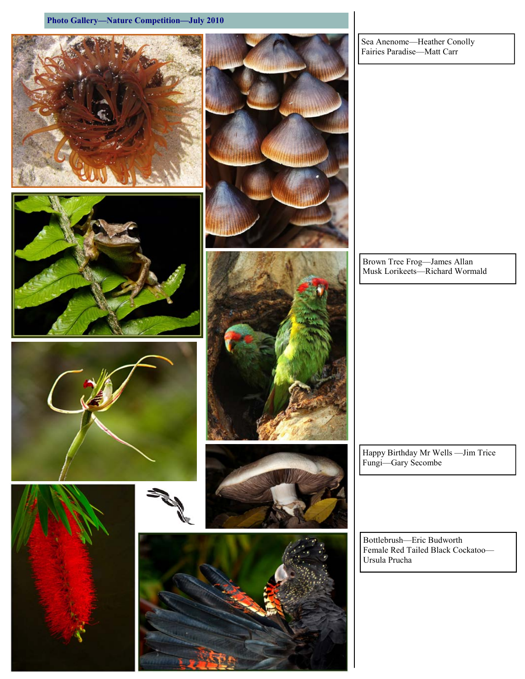















Sea Anenome—Heather Conolly Fairies Paradise—Matt Carr

Brown Tree Frog—James Allan Musk Lorikeets—Richard Wormald

Happy Birthday Mr Wells —Jim Trice Fungi—Gary Secombe

Bottlebrush—Eric Budworth Female Red Tailed Black Cockatoo—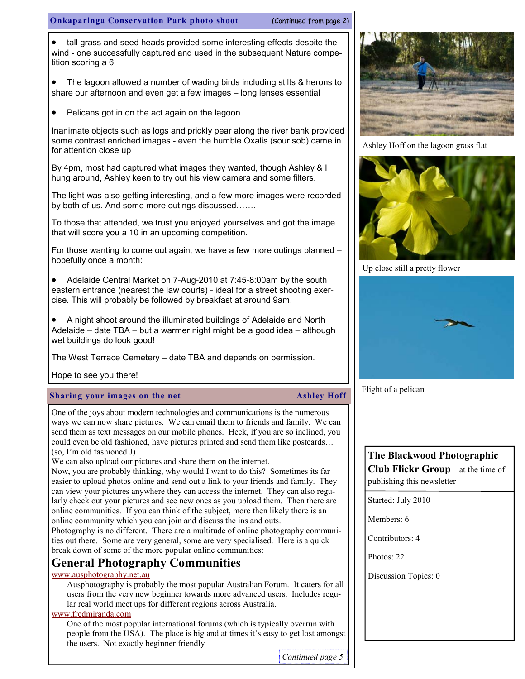#### Onkaparinga Conservation Park photo shoot (Continued from page 2)

• tall grass and seed heads provided some interesting effects despite the wind - one successfully captured and used in the subsequent Nature competition scoring a 6

• The lagoon allowed a number of wading birds including stilts & herons to share our afternoon and even get a few images – long lenses essential

• Pelicans got in on the act again on the lagoon

Inanimate objects such as logs and prickly pear along the river bank provided some contrast enriched images - even the humble Oxalis (sour sob) came in for attention close up

By 4pm, most had captured what images they wanted, though Ashley & I hung around, Ashley keen to try out his view camera and some filters.

The light was also getting interesting, and a few more images were recorded by both of us. And some more outings discussed…….

To those that attended, we trust you enjoyed yourselves and got the image that will score you a 10 in an upcoming competition.

For those wanting to come out again, we have a few more outings planned – hopefully once a month:

• Adelaide Central Market on 7-Aug-2010 at 7:45-8:00am by the south eastern entrance (nearest the law courts) - ideal for a street shooting exercise. This will probably be followed by breakfast at around 9am.

• A night shoot around the illuminated buildings of Adelaide and North Adelaide – date TBA – but a warmer night might be a good idea – although wet buildings do look good!

The West Terrace Cemetery – date TBA and depends on permission.

Hope to see you there!

#### Sharing your images on the net Ashley Hoff

One of the joys about modern technologies and communications is the numerous ways we can now share pictures. We can email them to friends and family. We can send them as text messages on our mobile phones. Heck, if you are so inclined, you could even be old fashioned, have pictures printed and send them like postcards… (so, I'm old fashioned J)

We can also upload our pictures and share them on the internet.

Now, you are probably thinking, why would I want to do this? Sometimes its far easier to upload photos online and send out a link to your friends and family. They can view your pictures anywhere they can access the internet. They can also regularly check out your pictures and see new ones as you upload them. Then there are online communities. If you can think of the subject, more then likely there is an online community which you can join and discuss the ins and outs.

Photography is no different. There are a multitude of online photography communities out there. Some are very general, some are very specialised. Here is a quick break down of some of the more popular online communities:

# General Photography Communities

#### www.ausphotography.net.au

Ausphotography is probably the most popular Australian Forum. It caters for all users from the very new beginner towards more advanced users. Includes regular real world meet ups for different regions across Australia.

#### www.fredmiranda.com

One of the most popular international forums (which is typically overrun with people from the USA). The place is big and at times it's easy to get lost amongst the users. Not exactly beginner friendly

Continued page 5



Ashley Hoff on the lagoon grass flat



Up close still a pretty flower



Flight of a pelican

# The Blackwood Photographic Club Flickr Group—at the time of publishing this newsletter

Started: July 2010

Members: 6

Contributors: 4

Photos: 22

Discussion Topics: 0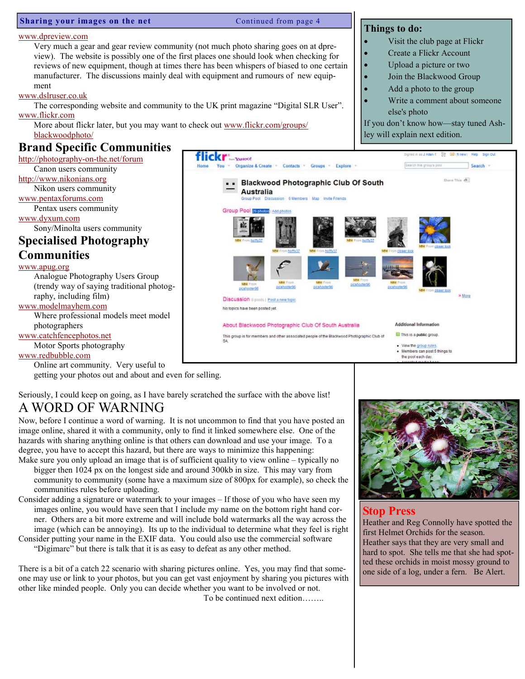#### Sharing your images on the net Continued from page 4

#### www.dpreview.com

Very much a gear and gear review community (not much photo sharing goes on at dpreview). The website is possibly one of the first places one should look when checking for reviews of new equipment, though at times there has been whispers of biased to one certain manufacturer. The discussions mainly deal with equipment and rumours of new equipment

#### www.dslruser.co.uk

The corresponding website and community to the UK print magazine "Digital SLR User". www.flickr.com

More about flickr later, but you may want to check out www.flickr.com/groups/ blackwoodphoto/

# Brand Specific Communities

http://photography-on-the.net/forum Canon users community http://www.nikonians.org Nikon users community www.pentaxforums.com Pentax users community www.dyxum.com Sony/Minolta users community Specialised Photography **Communities** www.apug.org Analogue Photography Users Group (trendy way of saying traditional photography, including film) www.modelmayhem.com Where professional models meet model photographers www.catchfencephotos.net

Motor Sports photography

www.redbubble.com

Online art community. Very useful to

getting your photos out and about and even for selling.

Seriously, I could keep on going, as I have barely scratched the surface with the above list! A WORD OF WARNING

Now, before I continue a word of warning. It is not uncommon to find that you have posted an image online, shared it with a community, only to find it linked somewhere else. One of the hazards with sharing anything online is that others can download and use your image. To a degree, you have to accept this hazard, but there are ways to minimize this happening:

- Make sure you only upload an image that is of sufficient quality to view online typically no bigger then 1024 px on the longest side and around 300kb in size. This may vary from community to community (some have a maximum size of 800px for example), so check the communities rules before uploading.
- Consider adding a signature or watermark to your images If those of you who have seen my images online, you would have seen that I include my name on the bottom right hand corner. Others are a bit more extreme and will include bold watermarks all the way across the image (which can be annoying). Its up to the individual to determine what they feel is right
- Consider putting your name in the EXIF data. You could also use the commercial software "Digimarc" but there is talk that it is as easy to defeat as any other method.

There is a bit of a catch 22 scenario with sharing pictures online. Yes, you may find that someone may use or link to your photos, but you can get vast enjoyment by sharing you pictures with other like minded people. Only you can decide whether you want to be involved or not.

To be continued next edition……..

### Things to do:

- Visit the club page at Flickr
- Create a Flickr Account
- Upload a picture or two
- Join the Blackwood Group
- Add a photo to the group
- Write a comment about someone else's photo

If you don't know how—stay tuned Ashley will explain next edition.





### Stop Press

Heather and Reg Connolly have spotted the first Helmet Orchids for the season. Heather says that they are very small and hard to spot. She tells me that she had spotted these orchids in moist mossy ground to one side of a log, under a fern. Be Alert.